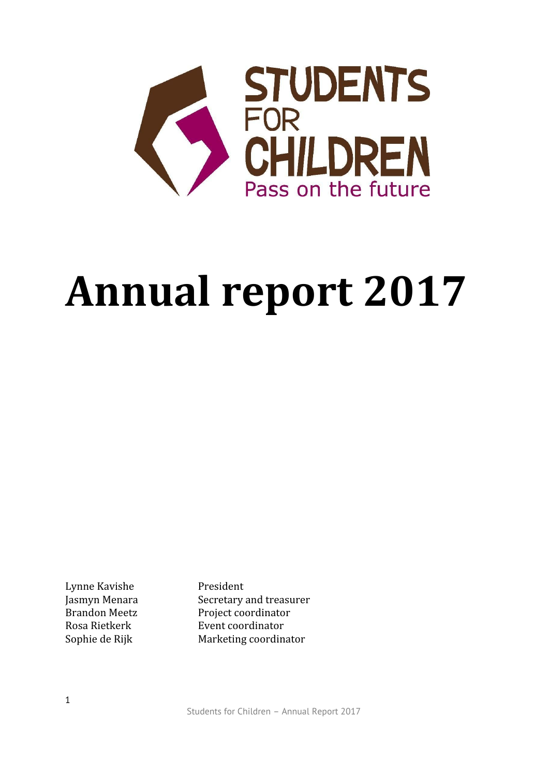

# **Annual report 2017**

Lynne Kavishe President

Jasmyn Menara Secretary and treasurer Brandon Meetz Project coordinator Rosa Rietkerk **Event coordinator** Sophie de Rijk Marketing coordinator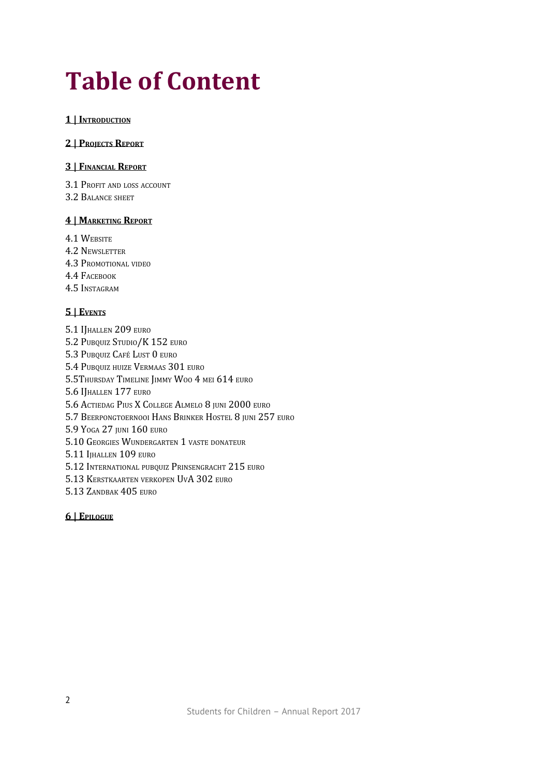# **Table of Content**

#### **1 | INTRODUCTION**

#### **2 | PROJECTS REPORT**

#### **3 | FINANCIAL REPORT**

3.1 PROFIT AND LOSS ACCOUNT

3.2 BALANCE SHEET

#### **4 | MARKETING REPORT**

4.1 WEBSITE

- 4.2 NEWSLETTER
- 4.3 PROMOTIONAL VIDEO
- 4.4 FACEBOOK
- 4.5 INSTAGRAM

#### **5 | EVENTS**

5.1 IJHALLEN 209 EURO 5.2 PUBQUIZ STUDIO/K 152 EURO 5.3 PUBQUIZ CAFÉ LUST 0 EURO 5.4 PUBQUIZ HUIZE VERMAAS 301 EURO 5.5THURSDAY TIMELINE JIMMY WOO 4 MEI 614 EURO 5.6 IJHALLEN 177 EURO 5.6 ACTIEDAG PIUS X COLLEGE ALMELO 8 JUNI 2000 EURO 5.7 BEERPONGTOERNOOI HANS BRINKER HOSTEL 8 JUNI 257 EURO 5.9 YOGA 27 JUNI 160 EURO 5.10 GEORGIES WUNDERGARTEN 1 VASTE DONATEUR 5.11 IJHALLEN 109 EURO 5.12 INTERNATIONAL PUBQUIZ PRINSENGRACHT 215 EURO 5.13 KERSTKAARTEN VERKOPEN UVA 302 EURO 5.13 ZANDBAK 405 EURO

#### **6 | EPILOGUE**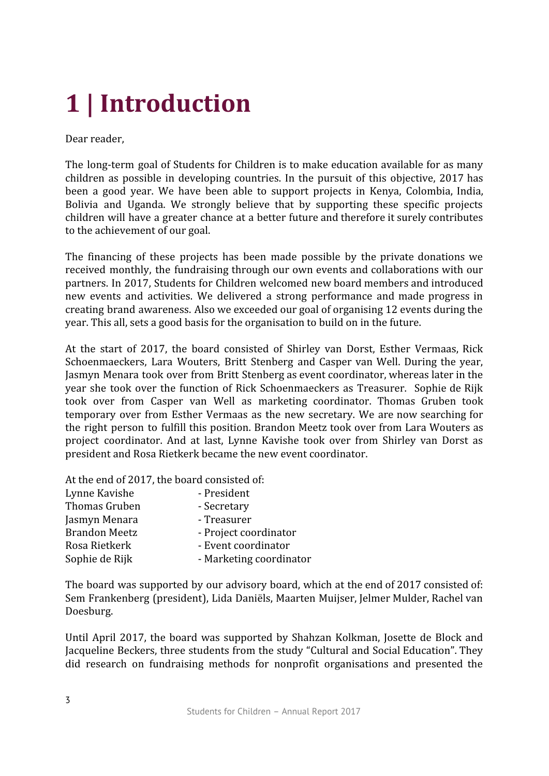# **1 | Introduction**

Dear reader,

The long-term goal of Students for Children is to make education available for as many children as possible in developing countries. In the pursuit of this objective, 2017 has been a good year. We have been able to support projects in Kenya, Colombia, India, Bolivia and Uganda. We strongly believe that by supporting these specific projects children will have a greater chance at a better future and therefore it surely contributes to the achievement of our goal.

The financing of these projects has been made possible by the private donations we received monthly, the fundraising through our own events and collaborations with our partners. In 2017, Students for Children welcomed new board members and introduced new events and activities. We delivered a strong performance and made progress in creating brand awareness. Also we exceeded our goal of organising 12 events during the year. This all, sets a good basis for the organisation to build on in the future.

At the start of 2017, the board consisted of Shirley van Dorst, Esther Vermaas, Rick Schoenmaeckers, Lara Wouters, Britt Stenberg and Casper van Well. During the year, Jasmyn Menara took over from Britt Stenberg as event coordinator, whereas later in the year she took over the function of Rick Schoenmaeckers as Treasurer. Sophie de Rijk took over from Casper van Well as marketing coordinator. Thomas Gruben took temporary over from Esther Vermaas as the new secretary. We are now searching for the right person to fulfill this position. Brandon Meetz took over from Lara Wouters as project coordinator. And at last, Lynne Kavishe took over from Shirley van Dorst as president and Rosa Rietkerk became the new event coordinator.

At the end of 2017, the board consisted of:

| - President             |
|-------------------------|
| - Secretary             |
| - Treasurer             |
| - Project coordinator   |
| - Event coordinator     |
| - Marketing coordinator |
|                         |

The board was supported by our advisory board, which at the end of 2017 consisted of: Sem Frankenberg (president), Lida Daniëls, Maarten Muijser, Jelmer Mulder, Rachel van Doesburg.

Until April 2017, the board was supported by Shahzan Kolkman, Josette de Block and Jacqueline Beckers, three students from the study "Cultural and Social Education". They did research on fundraising methods for nonprofit organisations and presented the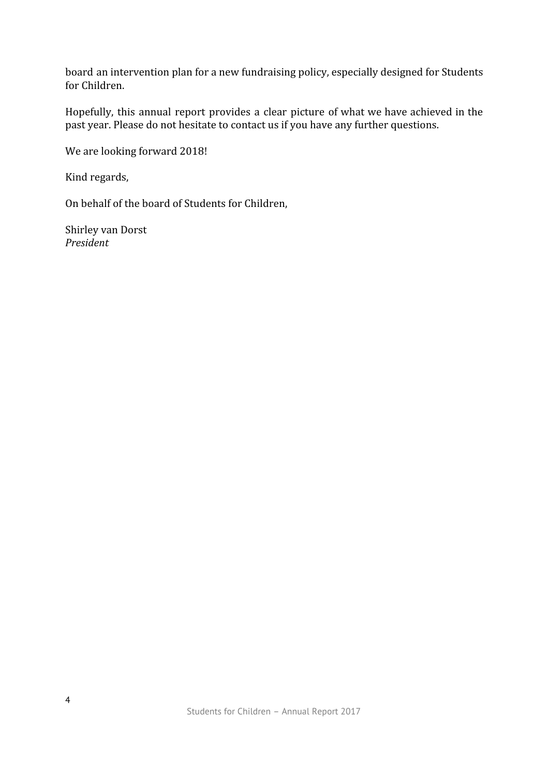board an intervention plan for a new fundraising policy, especially designed for Students for Children.

Hopefully, this annual report provides a clear picture of what we have achieved in the past year. Please do not hesitate to contact us if you have any further questions.

We are looking forward 2018!

Kind regards,

On behalf of the board of Students for Children,

Shirley van Dorst *President*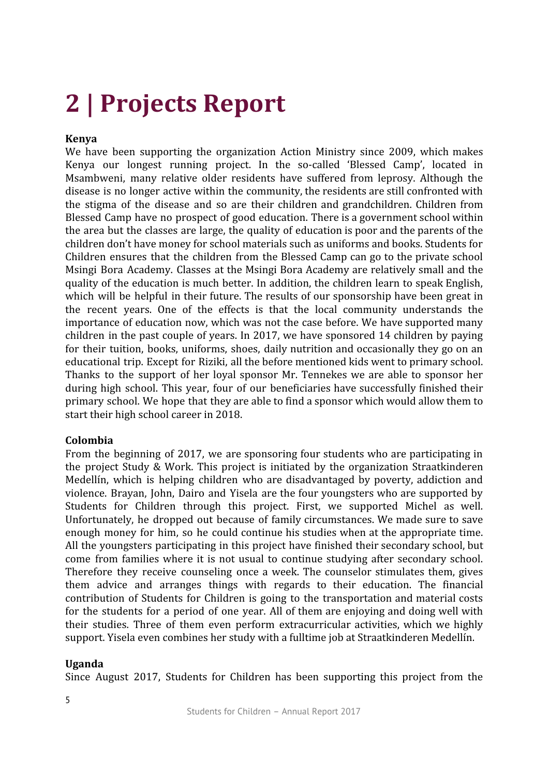# **2 | Projects Report**

#### **Kenya**

We have been supporting the organization Action Ministry since 2009, which makes Kenya our longest running project. In the so-called 'Blessed Camp', located in Msambweni, many relative older residents have suffered from leprosy. Although the disease is no longer active within the community, the residents are still confronted with the stigma of the disease and so are their children and grandchildren. Children from Blessed Camp have no prospect of good education. There is a government school within the area but the classes are large, the quality of education is poor and the parents of the children don't have money for school materials such as uniforms and books. Students for Children ensures that the children from the Blessed Camp can go to the private school Msingi Bora Academy. Classes at the Msingi Bora Academy are relatively small and the quality of the education is much better. In addition, the children learn to speak English, which will be helpful in their future. The results of our sponsorship have been great in the recent years. One of the effects is that the local community understands the importance of education now, which was not the case before. We have supported many children in the past couple of years. In 2017, we have sponsored 14 children by paying for their tuition, books, uniforms, shoes, daily nutrition and occasionally they go on an educational trip. Except for Riziki, all the before mentioned kids went to primary school. Thanks to the support of her loyal sponsor Mr. Tennekes we are able to sponsor her during high school. This year, four of our beneficiaries have successfully finished their primary school. We hope that they are able to find a sponsor which would allow them to start their high school career in 2018.

#### **Colombia**

From the beginning of 2017, we are sponsoring four students who are participating in the project Study & Work. This project is initiated by the organization Straatkinderen Medellín, which is helping children who are disadvantaged by poverty, addiction and violence. Brayan, John, Dairo and Yisela are the four youngsters who are supported by Students for Children through this project. First, we supported Michel as well. Unfortunately, he dropped out because of family circumstances. We made sure to save enough money for him, so he could continue his studies when at the appropriate time. All the youngsters participating in this project have finished their secondary school, but come from families where it is not usual to continue studying after secondary school. Therefore they receive counseling once a week. The counselor stimulates them, gives them advice and arranges things with regards to their education. The financial contribution of Students for Children is going to the transportation and material costs for the students for a period of one year. All of them are enjoying and doing well with their studies. Three of them even perform extracurricular activities, which we highly support. Yisela even combines her study with a fulltime job at Straatkinderen Medellín.

#### **Uganda**

Since August 2017, Students for Children has been supporting this project from the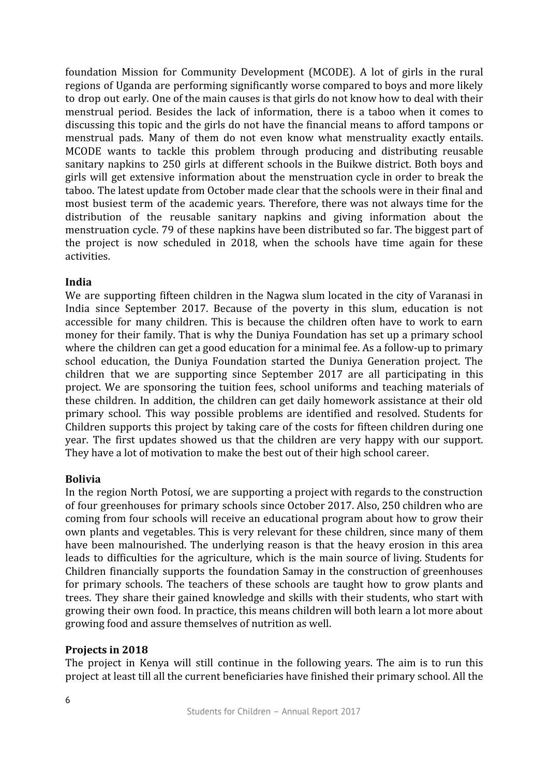foundation Mission for Community Development (MCODE). A lot of girls in the rural regions of Uganda are performing significantly worse compared to boys and more likely to drop out early. One of the main causes is that girls do not know how to deal with their menstrual period. Besides the lack of information, there is a taboo when it comes to discussing this topic and the girls do not have the financial means to afford tampons or menstrual pads. Many of them do not even know what menstruality exactly entails. MCODE wants to tackle this problem through producing and distributing reusable sanitary napkins to 250 girls at different schools in the Buikwe district. Both boys and girls will get extensive information about the menstruation cycle in order to break the taboo. The latest update from October made clear that the schools were in their final and most busiest term of the academic years. Therefore, there was not always time for the distribution of the reusable sanitary napkins and giving information about the menstruation cycle. 79 of these napkins have been distributed so far. The biggest part of the project is now scheduled in 2018, when the schools have time again for these activities.

#### **India**

We are supporting fifteen children in the Nagwa slum located in the city of Varanasi in India since September 2017. Because of the poverty in this slum, education is not accessible for many children. This is because the children often have to work to earn money for their family. That is why the Duniya Foundation has set up a primary school where the children can get a good education for a minimal fee. As a follow-up to primary school education, the Duniya Foundation started the Duniya Generation project. The children that we are supporting since September 2017 are all participating in this project. We are sponsoring the tuition fees, school uniforms and teaching materials of these children. In addition, the children can get daily homework assistance at their old primary school. This way possible problems are identified and resolved. Students for Children supports this project by taking care of the costs for fifteen children during one year. The first updates showed us that the children are very happy with our support. They have a lot of motivation to make the best out of their high school career.

#### **Bolivia**

In the region North Potosí, we are supporting a project with regards to the construction of four greenhouses for primary schools since October 2017. Also, 250 children who are coming from four schools will receive an educational program about how to grow their own plants and vegetables. This is very relevant for these children, since many of them have been malnourished. The underlying reason is that the heavy erosion in this area leads to difficulties for the agriculture, which is the main source of living. Students for Children financially supports the foundation Samay in the construction of greenhouses for primary schools. The teachers of these schools are taught how to grow plants and trees. They share their gained knowledge and skills with their students, who start with growing their own food. In practice, this means children will both learn a lot more about growing food and assure themselves of nutrition as well.

#### **Projects in 2018**

The project in Kenya will still continue in the following years. The aim is to run this project at least till all the current beneficiaries have finished their primary school. All the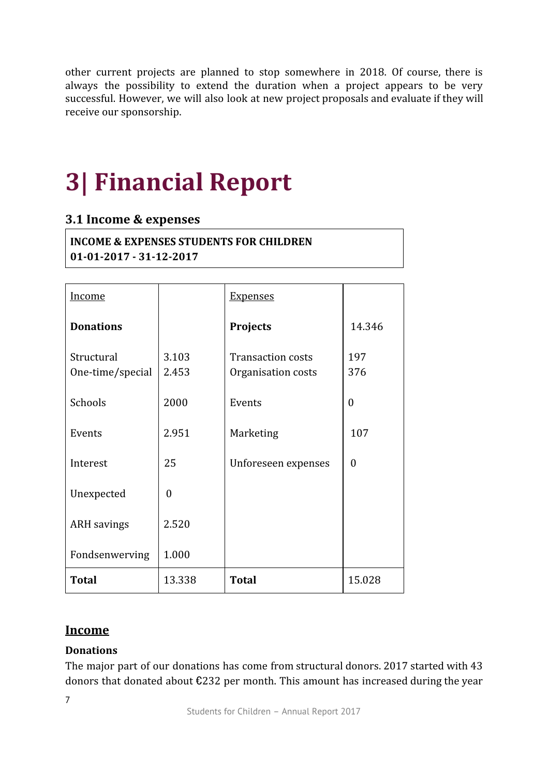other current projects are planned to stop somewhere in 2018. Of course, there is always the possibility to extend the duration when a project appears to be very successful. However, we will also look at new project proposals and evaluate if they will receive our sponsorship.

# **3| Financial Report**

# **3.1 Income & expenses**

**INCOME & EXPENSES STUDENTS FOR CHILDREN 01-01-2017 - 31-12-2017**

| Income                         |                | <b>Expenses</b>                                |              |
|--------------------------------|----------------|------------------------------------------------|--------------|
| <b>Donations</b>               |                | <b>Projects</b>                                | 14.346       |
| Structural<br>One-time/special | 3.103<br>2.453 | <b>Transaction costs</b><br>Organisation costs | 197<br>376   |
| Schools                        | 2000           | Events                                         | $\theta$     |
| Events                         | 2.951          | Marketing                                      | 107          |
| Interest                       | 25             | Unforeseen expenses                            | $\mathbf{0}$ |
| Unexpected                     | $\theta$       |                                                |              |
| <b>ARH</b> savings             | 2.520          |                                                |              |
| Fondsenwerving                 | 1.000          |                                                |              |
| <b>Total</b>                   | 13.338         | <b>Total</b>                                   | 15.028       |

### **Income**

### **Donations**

The major part of our donations has come from structural donors. 2017 started with 43 donors that donated about €232 per month. This amount has increased during the year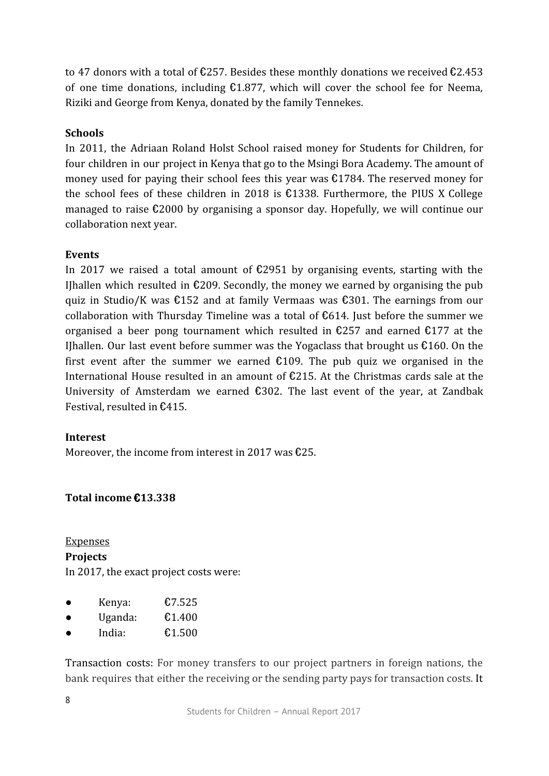to 47 donors with a total of  $\text{\textsterling}257$ . Besides these monthly donations we received  $\text{\textsterling}2.453$ of one time donations, including  $£1.877$ , which will cover the school fee for Neema, Riziki and George from Kenya, donated by the family Tennekes.

#### **Schools**

In 2011, the Adriaan Roland Holst School raised money for Students for Children, for four children in our project in Kenya that go to the Msingi Bora Academy. The amount of money used for paying their school fees this year was €1784. The reserved money for the school fees of these children in 2018 is  $£1338$ . Furthermore, the PIUS X College managed to raise €2000 by organising a sponsor day. Hopefully, we will continue our collaboration next year.

#### **Events**

In 2017 we raised a total amount of  $\text{\textsterling}2951$  by organising events, starting with the IJhallen which resulted in  $\epsilon$ 209. Secondly, the money we earned by organising the pub quiz in Studio/K was €152 and at family Vermaas was €301. The earnings from our collaboration with Thursday Timeline was a total of  $\epsilon$ 614. Just before the summer we organised a beer pong tournament which resulted in  $\epsilon$ 257 and earned  $\epsilon$ 177 at the IJhallen. Our last event before summer was the Yogaclass that brought us  $\epsilon$ 160. On the first event after the summer we earned  $£109$ . The pub quiz we organised in the International House resulted in an amount of €215. At the Christmas cards sale at the University of Amsterdam we earned €302. The last event of the year, at Zandbak Festival, resulted in €415.

#### **Interest**

Moreover, the income from interest in 2017 was  $\text{\textsterling}25$ .

#### **Total income** €**13.338**

**Expenses Projects** In 2017, the exact project costs were:

- Kenya: €7.525
- $\bullet$  Uganda:  $\epsilon$ 1.400
- $\bullet$  India:  $\epsilon$ 1.500

Transaction costs: For money transfers to our project partners in foreign nations, the bank requires that either the receiving or the sending party pays for transaction costs. It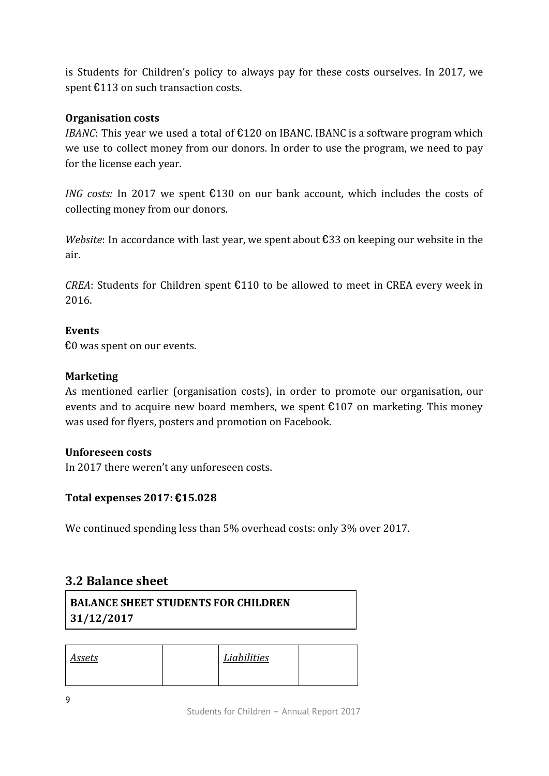is Students for Children's policy to always pay for these costs ourselves. In 2017, we spent €113 on such transaction costs.

#### **Organisation costs**

*IBANC*: This year we used a total of  $£120$  on IBANC. IBANC is a software program which we use to collect money from our donors. In order to use the program, we need to pay for the license each year.

*ING* costs: In 2017 we spent €130 on our bank account, which includes the costs of collecting money from our donors.

*Website*: In accordance with last year, we spent about €33 on keeping our website in the air.

*CREA*: Students for Children spent  $£110$  to be allowed to meet in CREA every week in 2016.

#### **Events**

€0 was spent on our events.

#### **Marketing**

As mentioned earlier (organisation costs), in order to promote our organisation, our events and to acquire new board members, we spent  $£107$  on marketing. This money was used for flyers, posters and promotion on Facebook.

#### **Unforeseen costs**

In 2017 there weren't any unforeseen costs.

#### **Total expenses 2017:** €**15.028**

We continued spending less than 5% overhead costs: only 3% over 2017.

# **3.2 Balance sheet**

| <b>BALANCE SHEET STUDENTS FOR CHILDREN</b> |  |
|--------------------------------------------|--|
| 31/12/2017                                 |  |

| <b>Assets</b> | Liabilities |  |
|---------------|-------------|--|
|               |             |  |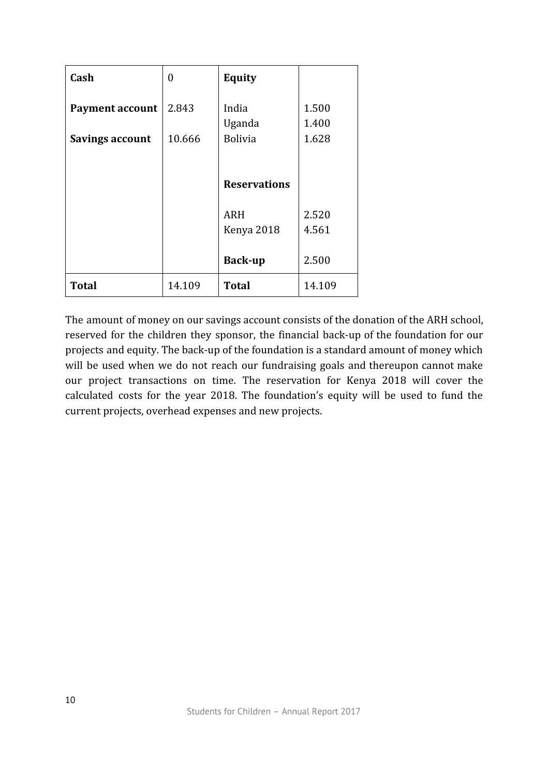| Cash                   | 0      | <b>Equity</b>            |                |
|------------------------|--------|--------------------------|----------------|
| <b>Payment account</b> | 2.843  | India<br>Uganda          | 1.500<br>1.400 |
| <b>Savings account</b> | 10.666 | <b>Bolivia</b>           | 1.628          |
|                        |        |                          |                |
|                        |        | <b>Reservations</b>      |                |
|                        |        | <b>ARH</b><br>Kenya 2018 | 2.520<br>4.561 |
|                        |        | <b>Back-up</b>           | 2.500          |
| <b>Total</b>           | 14.109 | <b>Total</b>             | 14.109         |

The amount of money on our savings account consists of the donation of the ARH school, reserved for the children they sponsor, the financial back-up of the foundation for our projects and equity. The back-up of the foundation is a standard amount of money which will be used when we do not reach our fundraising goals and thereupon cannot make our project transactions on time. The reservation for Kenya 2018 will cover the calculated costs for the year 2018. The foundation's equity will be used to fund the current projects, overhead expenses and new projects.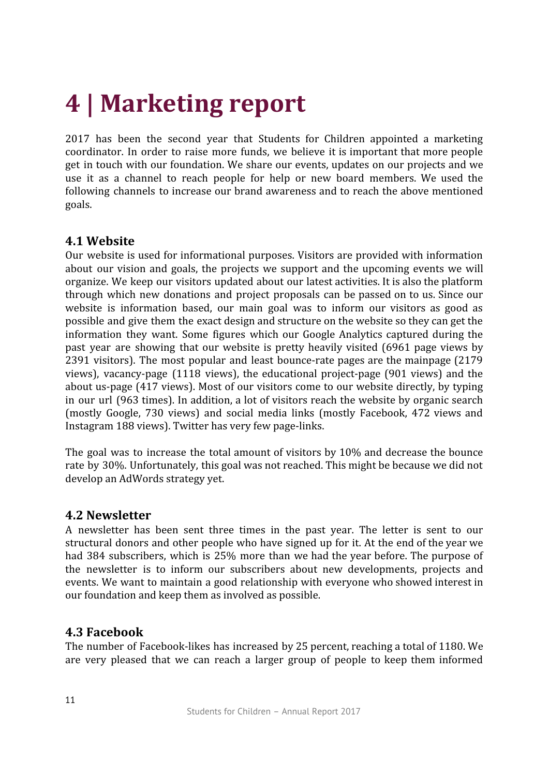# **4 | Marketing report**

2017 has been the second year that Students for Children appointed a marketing coordinator. In order to raise more funds, we believe it is important that more people get in touch with our foundation. We share our events, updates on our projects and we use it as a channel to reach people for help or new board members. We used the following channels to increase our brand awareness and to reach the above mentioned goals.

### **4.1 Website**

Our website is used for informational purposes. Visitors are provided with information about our vision and goals, the projects we support and the upcoming events we will organize. We keep our visitors updated about our latest activities. It is also the platform through which new donations and project proposals can be passed on to us. Since our website is information based, our main goal was to inform our visitors as good as possible and give them the exact design and structure on the website so they can get the information they want. Some figures which our Google Analytics captured during the past year are showing that our website is pretty heavily visited (6961 page views by 2391 visitors). The most popular and least bounce-rate pages are the mainpage (2179 views), vacancy-page (1118 views), the educational project-page (901 views) and the about us-page (417 views). Most of our visitors come to our website directly, by typing in our url (963 times). In addition, a lot of visitors reach the website by organic search (mostly Google, 730 views) and social media links (mostly Facebook, 472 views and Instagram 188 views). Twitter has very few page-links.

The goal was to increase the total amount of visitors by 10% and decrease the bounce rate by 30%. Unfortunately, this goal was not reached. This might be because we did not develop an AdWords strategy yet.

#### **4.2 Newsletter**

A newsletter has been sent three times in the past year. The letter is sent to our structural donors and other people who have signed up for it. At the end of the year we had 384 subscribers, which is 25% more than we had the year before. The purpose of the newsletter is to inform our subscribers about new developments, projects and events. We want to maintain a good relationship with everyone who showed interest in our foundation and keep them as involved as possible.

### **4.3 Facebook**

The number of Facebook-likes has increased by 25 percent, reaching a total of 1180. We are very pleased that we can reach a larger group of people to keep them informed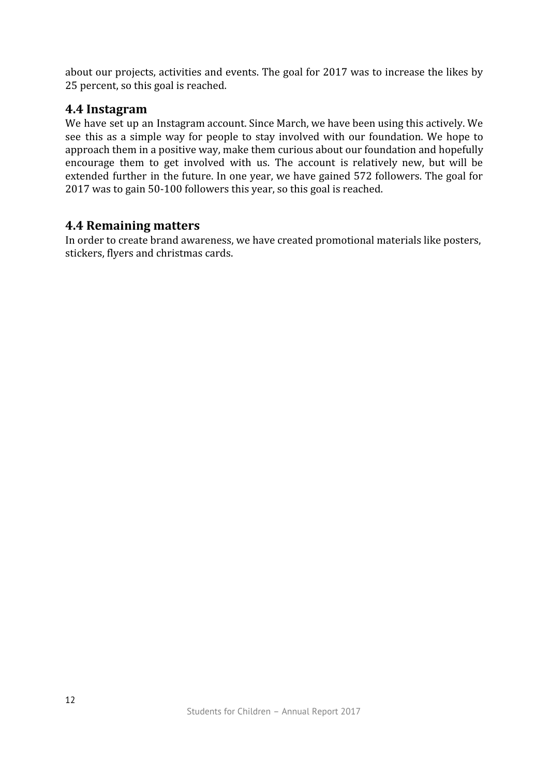about our projects, activities and events. The goal for 2017 was to increase the likes by 25 percent, so this goal is reached.

### **4.4 Instagram**

We have set up an Instagram account. Since March, we have been using this actively. We see this as a simple way for people to stay involved with our foundation. We hope to approach them in a positive way, make them curious about our foundation and hopefully encourage them to get involved with us. The account is relatively new, but will be extended further in the future. In one year, we have gained 572 followers. The goal for 2017 was to gain 50-100 followers this year, so this goal is reached.

### **4.4 Remaining matters**

In order to create brand awareness, we have created promotional materials like posters, stickers, flyers and christmas cards.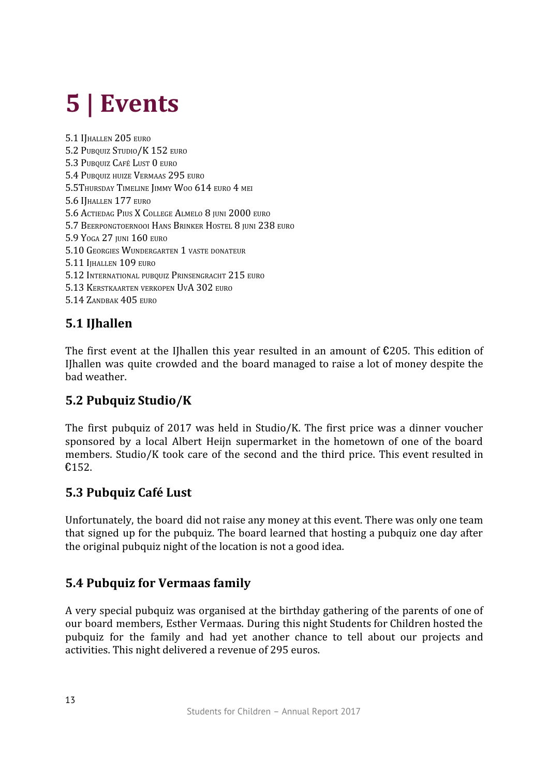# **5 | Events**

5.1 IJHALLEN 205 EURO 5.2 PUBQUIZ STUDIO/K 152 EURO 5.3 PUBQUIZ CAFÉ LUST 0 EURO 5.4 PUBQUIZ HUIZE VERMAAS 295 EURO 5.5THURSDAY TIMELINE JIMMY WOO 614 EURO 4 MEI 5.6 IJHALLEN 177 EURO 5.6 ACTIEDAG PIUS X COLLEGE ALMELO 8 JUNI 2000 EURO 5.7 BEERPONGTOERNOOI HANS BRINKER HOSTEL 8 JUNI 238 EURO 5.9 YOGA 27 IUNI 160 EURO 5.10 GEORGIES WUNDERGARTEN 1 VASTE DONATEUR 5.11 IHALLEN 109 EURO 5.12 INTERNATIONAL PUBQUIZ PRINSENGRACHT 215 EURO 5.13 KERSTKAARTEN VERKOPEN UVA 302 EURO 5.14 ZANDBAK 405 EURO

# **5.1 IJhallen**

The first event at the IJhallen this year resulted in an amount of  $\epsilon$ 205. This edition of IJhallen was quite crowded and the board managed to raise a lot of money despite the bad weather.

# **5.2 Pubquiz Studio/K**

The first pubquiz of 2017 was held in Studio/K. The first price was a dinner voucher sponsored by a local Albert Heijn supermarket in the hometown of one of the board members. Studio/K took care of the second and the third price. This event resulted in €152.

# **5.3 Pubquiz Café Lust**

Unfortunately, the board did not raise any money at this event. There was only one team that signed up for the pubquiz. The board learned that hosting a pubquiz one day after the original pubquiz night of the location is not a good idea.

# **5.4 Pubquiz for Vermaas family**

A very special pubquiz was organised at the birthday gathering of the parents of one of our board members, Esther Vermaas. During this night Students for Children hosted the pubquiz for the family and had yet another chance to tell about our projects and activities. This night delivered a revenue of 295 euros.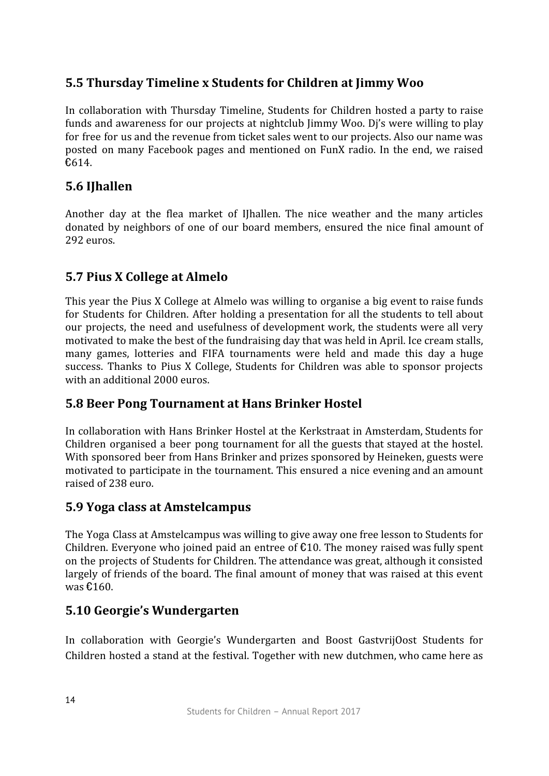# **5.5 Thursday Timeline x Students for Children at Jimmy Woo**

In collaboration with Thursday Timeline, Students for Children hosted a party to raise funds and awareness for our projects at nightclub Jimmy Woo. Dj's were willing to play for free for us and the revenue from ticket sales went to our projects. Also our name was posted on many Facebook pages and mentioned on FunX radio. In the end, we raised €614.

# **5.6 IJhallen**

Another day at the flea market of IJhallen. The nice weather and the many articles donated by neighbors of one of our board members, ensured the nice final amount of 292 euros.

# **5.7 Pius X College at Almelo**

This year the Pius X College at Almelo was willing to organise a big event to raise funds for Students for Children. After holding a presentation for all the students to tell about our projects, the need and usefulness of development work, the students were all very motivated to make the best of the fundraising day that was held in April. Ice cream stalls, many games, lotteries and FIFA tournaments were held and made this day a huge success. Thanks to Pius X College, Students for Children was able to sponsor projects with an additional 2000 euros.

# **5.8 Beer Pong Tournament at Hans Brinker Hostel**

In collaboration with Hans Brinker Hostel at the Kerkstraat in Amsterdam, Students for Children organised a beer pong tournament for all the guests that stayed at the hostel. With sponsored beer from Hans Brinker and prizes sponsored by Heineken, guests were motivated to participate in the tournament. This ensured a nice evening and an amount raised of 238 euro.

# **5.9 Yoga class at Amstelcampus**

The Yoga Class at Amstelcampus was willing to give away one free lesson to Students for Children. Everyone who joined paid an entree of  $\epsilon$ 10. The money raised was fully spent on the projects of Students for Children. The attendance was great, although it consisted largely of friends of the board. The final amount of money that was raised at this event was €160.

# **5.10 Georgie's Wundergarten**

In collaboration with Georgie's Wundergarten and Boost GastvrijOost Students for Children hosted a stand at the festival. Together with new dutchmen, who came here as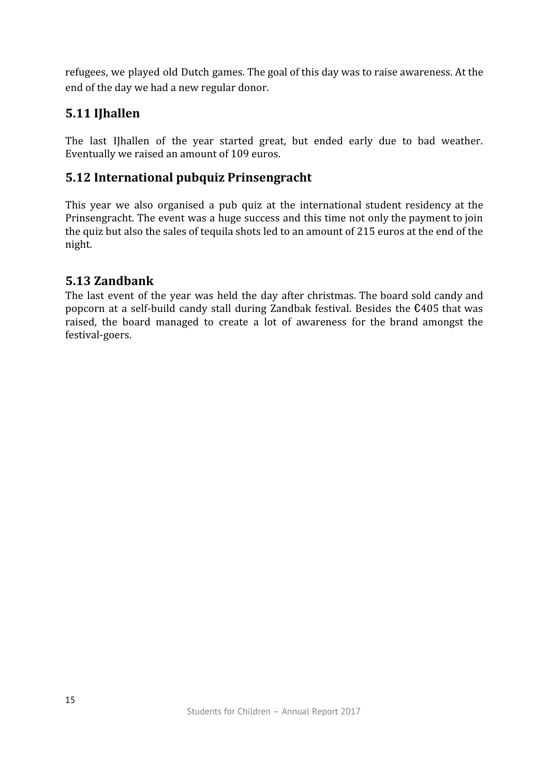refugees, we played old Dutch games. The goal of this day was to raise awareness. At the end of the day we had a new regular donor.

# **5.11 IJhallen**

The last IJhallen of the year started great, but ended early due to bad weather. Eventually we raised an amount of 109 euros.

# **5.12 International pubquiz Prinsengracht**

This year we also organised a pub quiz at the international student residency at the Prinsengracht. The event was a huge success and this time not only the payment to join the quiz but also the sales of tequila shots led to an amount of 215 euros at the end of the night.

### **5.13 Zandbank**

The last event of the year was held the day after christmas. The board sold candy and popcorn at a self-build candy stall during Zandbak festival. Besides the €405 that was raised, the board managed to create a lot of awareness for the brand amongst the festival-goers.